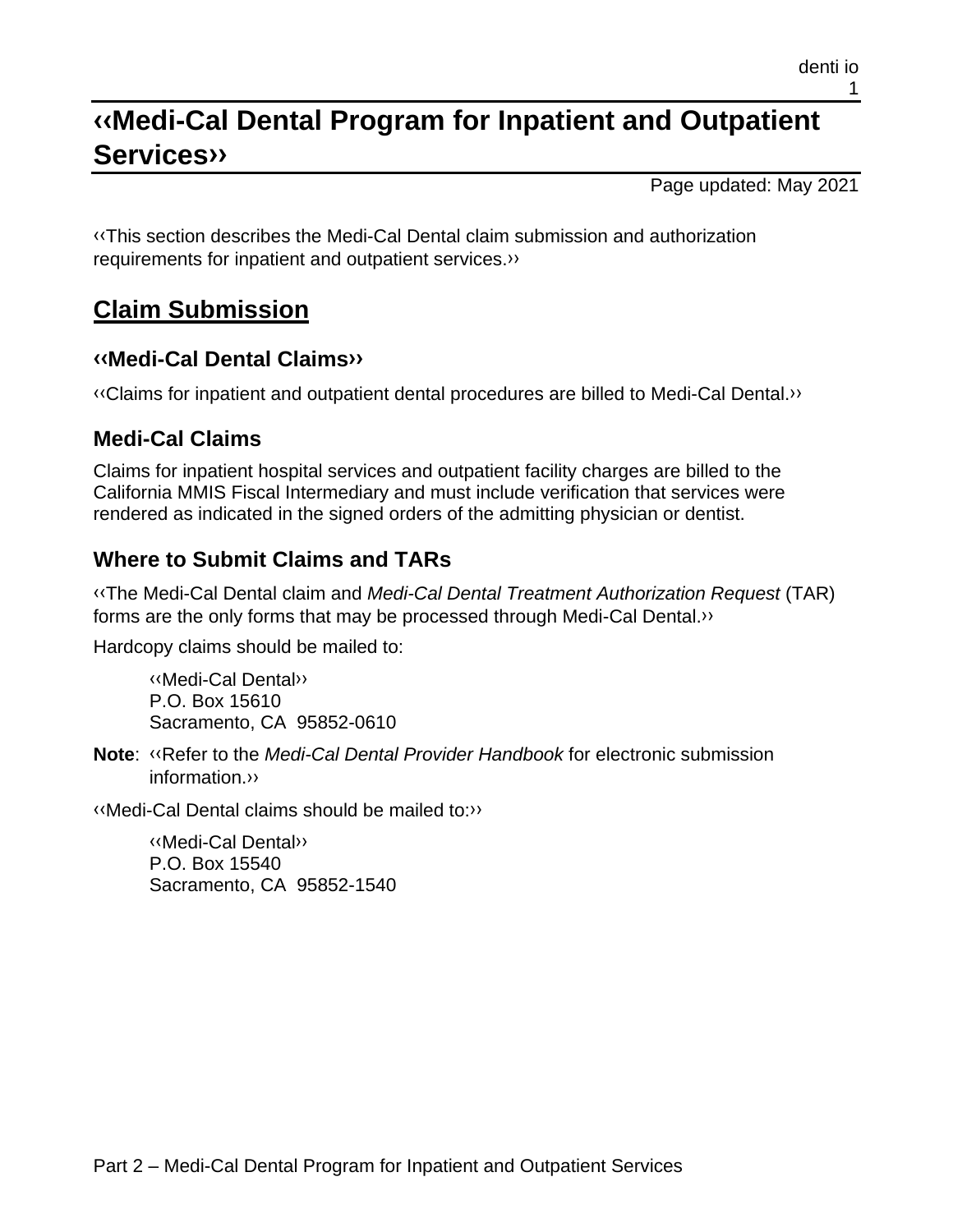# **[‹‹M](#page-2-0)edi-Cal Dental Program for Inpatient and Outpatient Service[s››](#page-2-1)**

Page updated: May 2021

[‹‹T](#page-2-0)his section describes the Medi-Cal Dental claim submission and authorization requirements for inpatient and outpatient services[.››](#page-2-1)

### **Claim Submission**

#### **[‹‹M](#page-2-0)edi-Cal Dental Claim[s››](#page-2-1)**

[‹‹C](#page-2-0)laims for inpatient and outpatient dental procedures are billed to Medi-Cal Dental[.››](#page-2-1)

### **Medi-Cal Claims**

Claims for inpatient hospital services and outpatient facility charges are billed to the California MMIS Fiscal Intermediary and must include verification that services were rendered as indicated in the signed orders of the admitting physician or dentist.

### **Where to Submit Claims and TARs**

[‹‹T](#page-2-0)he Medi-Cal Dental claim and *Medi-Cal Dental Treatment Authorization Request* (TAR) forms are the only forms that may be processed through Medi-Cal Dental[.››](#page-2-1)

Hardcopy claims should be mailed to:

[‹‹M](#page-2-0)edi-Cal Denta[l››](#page-2-1) P.O. Box 15610 Sacramento, CA 95852-0610

**Note**: [‹‹R](#page-2-0)efer to the *Medi-Cal Dental Provider Handbook* for electronic submission information[.››](#page-2-1)

[‹‹M](#page-2-0)edi-Cal Dental claims should be mailed to[:››](#page-2-1)

[‹‹M](#page-2-0)edi-Cal Denta[l››](#page-2-1) P.O. Box 15540 Sacramento, CA 95852-1540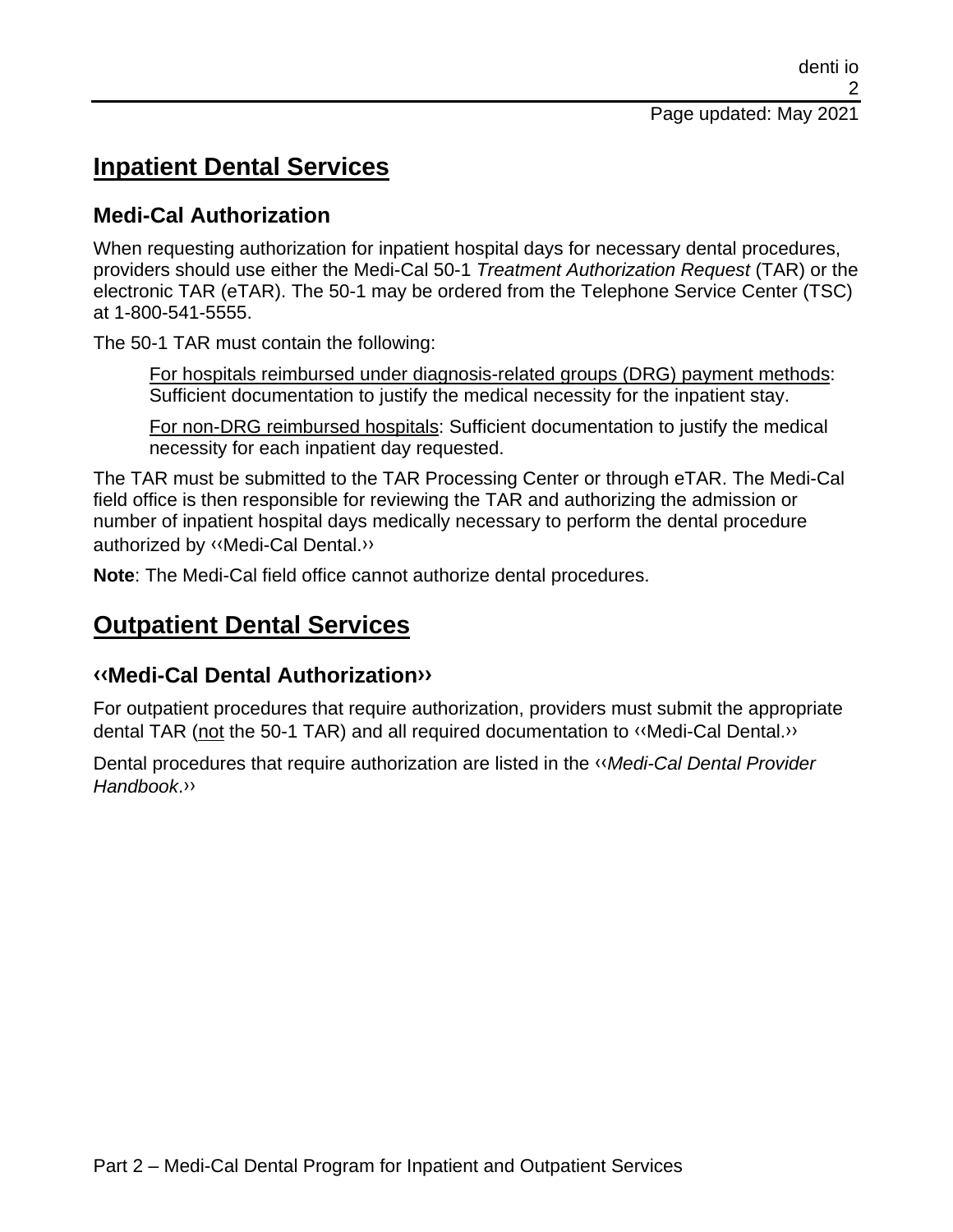### **Inpatient Dental Services**

#### **Medi-Cal Authorization**

When requesting authorization for inpatient hospital days for necessary dental procedures, providers should use either the Medi-Cal 50-1 *Treatment Authorization Request* (TAR) or the electronic TAR (eTAR). The 50-1 may be ordered from the Telephone Service Center (TSC) at 1-800-541-5555.

The 50-1 TAR must contain the following:

For hospitals reimbursed under diagnosis-related groups (DRG) payment methods: Sufficient documentation to justify the medical necessity for the inpatient stay.

For non-DRG reimbursed hospitals: Sufficient documentation to justify the medical necessity for each inpatient day requested.

The TAR must be submitted to the TAR Processing Center or through eTAR. The Medi-Cal field office is then responsible for reviewing the TAR and authorizing the admission or number of inpatient hospital days medically necessary to perform the dental procedure authorized by [‹‹M](#page-2-0)edi-Cal Dental[.››](#page-2-1)

**Note**: The Medi-Cal field office cannot authorize dental procedures.

### **Outpatient Dental Services**

#### **[‹‹M](#page-2-0)edi-Cal Dental Authorizatio[n››](#page-2-1)**

For outpatient procedures that require authorization, providers must submit the appropriate dental TAR (not the 50-1 TAR) and all required documentation to [‹‹M](#page-2-0)edi-Cal Dental[.››](#page-2-1)

Dental procedures that require authorization are listed in the [‹‹](#page-2-0)*Medi-Cal Dental Provider Handbook*[.››](#page-2-1)